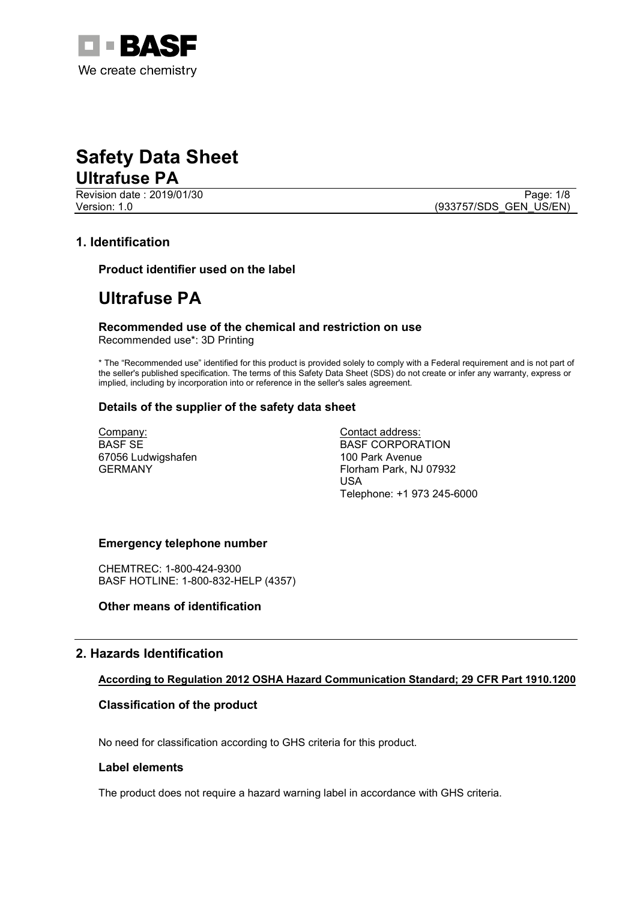

Revision date : 2019/01/30 Page: 1/8<br>
Version: 1.0 (933757/SDS GEN US/EN)

(933757/SDS\_GEN\_US/EN)

#### **1. Identification**

**Product identifier used on the label**

### **Ultrafuse PA**

**Recommended use of the chemical and restriction on use** Recommended use\*: 3D Printing

\* The "Recommended use" identified for this product is provided solely to comply with a Federal requirement and is not part of the seller's published specification. The terms of this Safety Data Sheet (SDS) do not create or infer any warranty, express or implied, including by incorporation into or reference in the seller's sales agreement.

#### **Details of the supplier of the safety data sheet**

Company: BASF SE 67056 Ludwigshafen GERMANY

Contact address: BASF CORPORATION 100 Park Avenue Florham Park, NJ 07932 USA Telephone: +1 973 245-6000

#### **Emergency telephone number**

CHEMTREC: 1-800-424-9300 BASF HOTLINE: 1-800-832-HELP (4357)

#### **Other means of identification**

#### **2. Hazards Identification**

#### **According to Regulation 2012 OSHA Hazard Communication Standard; 29 CFR Part 1910.1200**

#### **Classification of the product**

No need for classification according to GHS criteria for this product.

#### **Label elements**

The product does not require a hazard warning label in accordance with GHS criteria.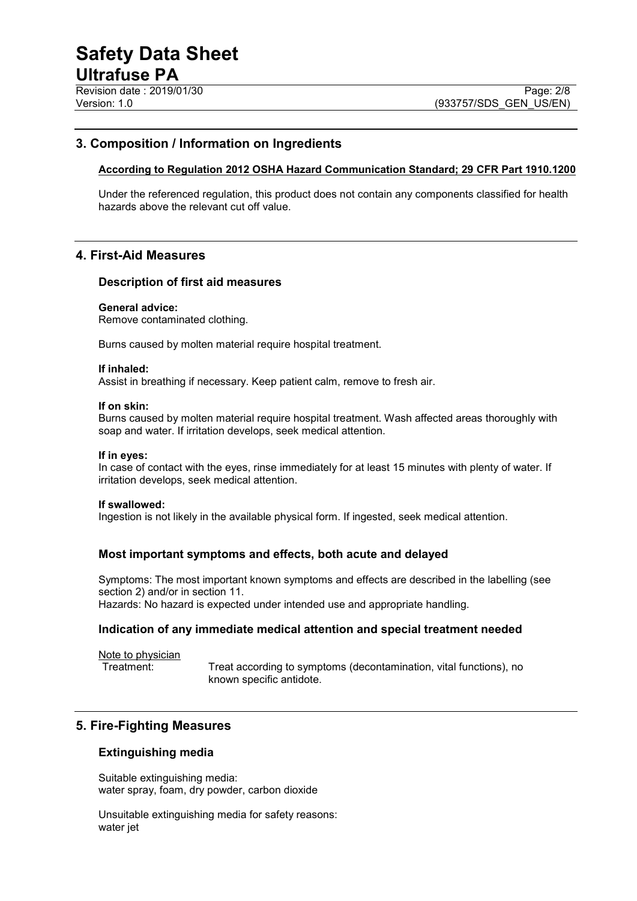#### **3. Composition / Information on Ingredients**

#### **According to Regulation 2012 OSHA Hazard Communication Standard; 29 CFR Part 1910.1200**

Under the referenced regulation, this product does not contain any components classified for health hazards above the relevant cut off value.

#### **4. First-Aid Measures**

#### **Description of first aid measures**

#### **General advice:**

Remove contaminated clothing.

Burns caused by molten material require hospital treatment.

#### **If inhaled:**

Assist in breathing if necessary. Keep patient calm, remove to fresh air.

#### **If on skin:**

Burns caused by molten material require hospital treatment. Wash affected areas thoroughly with soap and water. If irritation develops, seek medical attention.

#### **If in eyes:**

In case of contact with the eyes, rinse immediately for at least 15 minutes with plenty of water. If irritation develops, seek medical attention.

#### **If swallowed:**

Ingestion is not likely in the available physical form. If ingested, seek medical attention.

#### **Most important symptoms and effects, both acute and delayed**

Symptoms: The most important known symptoms and effects are described in the labelling (see section 2) and/or in section 11.

Hazards: No hazard is expected under intended use and appropriate handling.

#### **Indication of any immediate medical attention and special treatment needed**

Note to physician<br>Treatment:

Treat according to symptoms (decontamination, vital functions), no known specific antidote.

#### **5. Fire-Fighting Measures**

#### **Extinguishing media**

Suitable extinguishing media: water spray, foam, dry powder, carbon dioxide

Unsuitable extinguishing media for safety reasons: water jet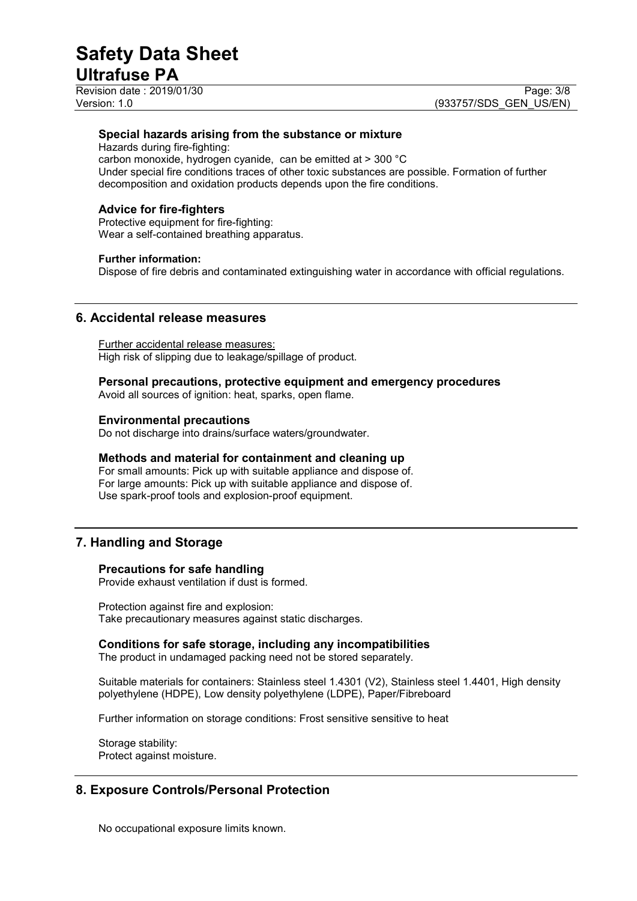Revision date : 2019/01/30<br>
Version: 1.0<br>
Version: 1.0 (933757/SDS GEN US/EN)

(933757/SDS\_GEN\_US/EN)

#### **Special hazards arising from the substance or mixture**

Hazards during fire-fighting:

carbon monoxide, hydrogen cyanide, can be emitted at > 300 °C Under special fire conditions traces of other toxic substances are possible. Formation of further decomposition and oxidation products depends upon the fire conditions.

#### **Advice for fire-fighters**

Protective equipment for fire-fighting: Wear a self-contained breathing apparatus.

#### **Further information:**

Dispose of fire debris and contaminated extinguishing water in accordance with official regulations.

#### **6. Accidental release measures**

Further accidental release measures: High risk of slipping due to leakage/spillage of product.

#### **Personal precautions, protective equipment and emergency procedures**

Avoid all sources of ignition: heat, sparks, open flame.

#### **Environmental precautions**

Do not discharge into drains/surface waters/groundwater.

#### **Methods and material for containment and cleaning up**

For small amounts: Pick up with suitable appliance and dispose of. For large amounts: Pick up with suitable appliance and dispose of. Use spark-proof tools and explosion-proof equipment.

#### **7. Handling and Storage**

#### **Precautions for safe handling**

Provide exhaust ventilation if dust is formed.

Protection against fire and explosion: Take precautionary measures against static discharges.

#### **Conditions for safe storage, including any incompatibilities**

The product in undamaged packing need not be stored separately.

Suitable materials for containers: Stainless steel 1.4301 (V2), Stainless steel 1.4401, High density polyethylene (HDPE), Low density polyethylene (LDPE), Paper/Fibreboard

Further information on storage conditions: Frost sensitive sensitive to heat

Storage stability: Protect against moisture.

#### **8. Exposure Controls/Personal Protection**

No occupational exposure limits known.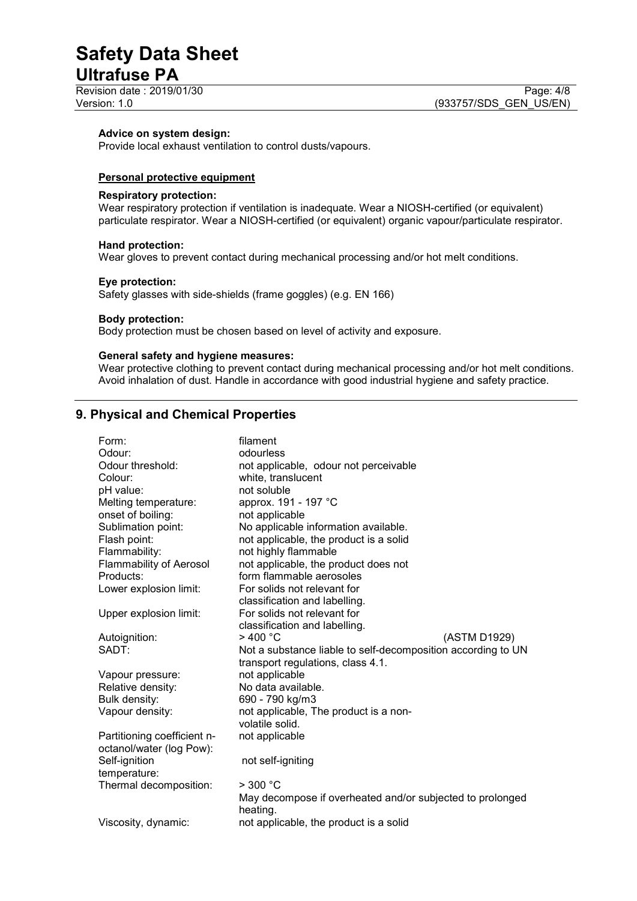# **Safety Data Sheet**

### **Ultrafuse PA**

Revision date : 2019/01/30<br>
Version: 1.0 Page: 4/8<br>
Version: 1.0 (933757/SDS GEN US/EN)

#### **Advice on system design:**

Provide local exhaust ventilation to control dusts/vapours.

#### **Personal protective equipment**

#### **Respiratory protection:**

Wear respiratory protection if ventilation is inadequate. Wear a NIOSH-certified (or equivalent) particulate respirator. Wear a NIOSH-certified (or equivalent) organic vapour/particulate respirator.

#### **Hand protection:**

Wear gloves to prevent contact during mechanical processing and/or hot melt conditions.

#### **Eye protection:**

Safety glasses with side-shields (frame goggles) (e.g. EN 166)

#### **Body protection:**

Body protection must be chosen based on level of activity and exposure.

#### **General safety and hygiene measures:**

Wear protective clothing to prevent contact during mechanical processing and/or hot melt conditions. Avoid inhalation of dust. Handle in accordance with good industrial hygiene and safety practice.

#### **9. Physical and Chemical Properties**

| Form:                          | filament                                                              |
|--------------------------------|-----------------------------------------------------------------------|
| Odour:                         | odourless                                                             |
| Odour threshold:               | not applicable, odour not perceivable                                 |
| Colour:                        | white, translucent                                                    |
| pH value:                      | not soluble                                                           |
| Melting temperature:           | approx. 191 - 197 °C                                                  |
| onset of boiling:              | not applicable                                                        |
| Sublimation point:             | No applicable information available.                                  |
| Flash point:                   | not applicable, the product is a solid                                |
| Flammability:                  | not highly flammable                                                  |
| <b>Flammability of Aerosol</b> | not applicable, the product does not                                  |
| Products:                      | form flammable aerosoles                                              |
| Lower explosion limit:         | For solids not relevant for                                           |
|                                | classification and labelling.                                         |
| Upper explosion limit:         | For solids not relevant for                                           |
|                                | classification and labelling.                                         |
| Autoignition:                  | $>$ 400 °C<br>(ASTM D1929)                                            |
| SADT:                          | Not a substance liable to self-decomposition according to UN          |
|                                | transport regulations, class 4.1.                                     |
| Vapour pressure:               | not applicable                                                        |
| Relative density:              | No data available.                                                    |
| Bulk density:                  | 690 - 790 kg/m3                                                       |
| Vapour density:                | not applicable, The product is a non-                                 |
|                                | volatile solid.                                                       |
| Partitioning coefficient n-    | not applicable                                                        |
| octanol/water (log Pow):       |                                                                       |
| Self-ignition                  | not self-igniting                                                     |
| temperature:                   |                                                                       |
| Thermal decomposition:         | $>$ 300 °C                                                            |
|                                | May decompose if overheated and/or subjected to prolonged<br>heating. |
| Viscosity, dynamic:            | not applicable, the product is a solid                                |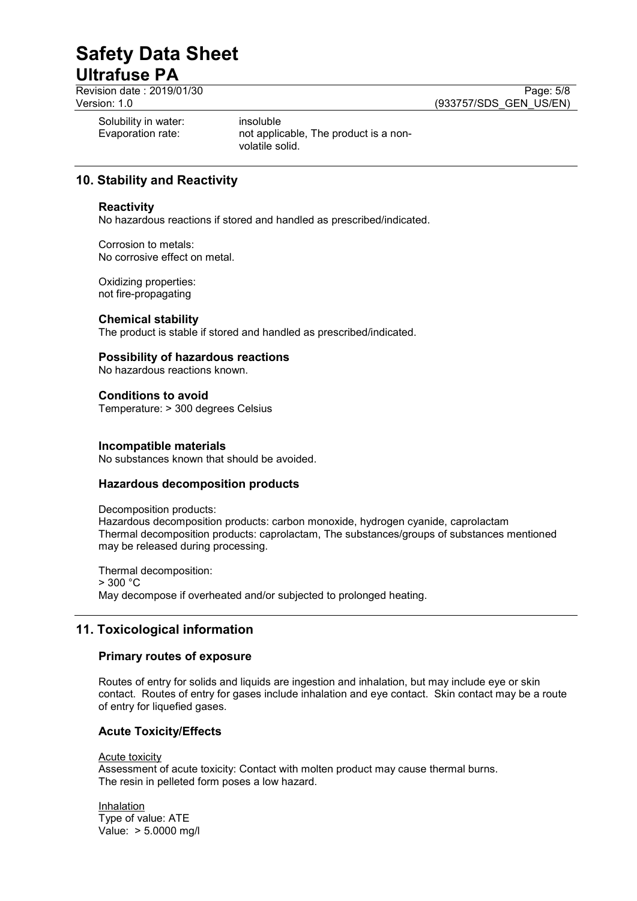Revision date : 2019/01/30<br>
Version: 1.0<br>
Version: 1.0 (933757/SDS GEN US/EN) (933757/SDS GEN US/EN)

Solubility in water:<br>
Evaporation rate:<br>
not applic

not applicable, The product is a nonvolatile solid.

#### **10. Stability and Reactivity**

#### **Reactivity**

No hazardous reactions if stored and handled as prescribed/indicated.

Corrosion to metals: No corrosive effect on metal.

Oxidizing properties: not fire-propagating

#### **Chemical stability**

The product is stable if stored and handled as prescribed/indicated.

#### **Possibility of hazardous reactions**

No hazardous reactions known.

**Conditions to avoid** Temperature: > 300 degrees Celsius

#### **Incompatible materials**

No substances known that should be avoided.

#### **Hazardous decomposition products**

Decomposition products: Hazardous decomposition products: carbon monoxide, hydrogen cyanide, caprolactam Thermal decomposition products: caprolactam, The substances/groups of substances mentioned may be released during processing.

Thermal decomposition:  $> 300 °C$ May decompose if overheated and/or subjected to prolonged heating.

#### **11. Toxicological information**

#### **Primary routes of exposure**

Routes of entry for solids and liquids are ingestion and inhalation, but may include eye or skin contact. Routes of entry for gases include inhalation and eye contact. Skin contact may be a route of entry for liquefied gases.

#### **Acute Toxicity/Effects**

#### Acute toxicity

Assessment of acute toxicity: Contact with molten product may cause thermal burns. The resin in pelleted form poses a low hazard.

Inhalation Type of value: ATE Value: > 5.0000 mg/l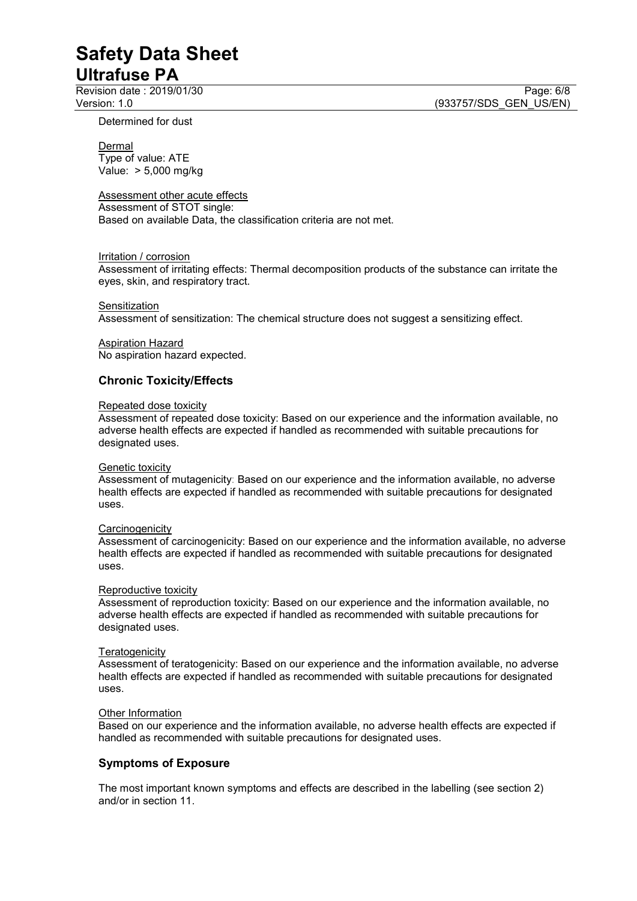Revision date : 2019/01/30<br>
Version: 1.0<br>
Version: 1.0 (933757/SDS GEN US/EN)

(933757/SDS GEN US/EN)

Determined for dust

### **Dermal**

Type of value: ATE Value: > 5,000 mg/kg

#### Assessment other acute effects

Assessment of STOT single: Based on available Data, the classification criteria are not met.

#### Irritation / corrosion

Assessment of irritating effects: Thermal decomposition products of the substance can irritate the eyes, skin, and respiratory tract.

#### **Sensitization**

Assessment of sensitization: The chemical structure does not suggest a sensitizing effect.

Aspiration Hazard No aspiration hazard expected.

#### **Chronic Toxicity/Effects**

#### Repeated dose toxicity

Assessment of repeated dose toxicity: Based on our experience and the information available, no adverse health effects are expected if handled as recommended with suitable precautions for designated uses.

#### Genetic toxicity

Assessment of mutagenicity: Based on our experience and the information available, no adverse health effects are expected if handled as recommended with suitable precautions for designated uses.

#### **Carcinogenicity**

Assessment of carcinogenicity: Based on our experience and the information available, no adverse health effects are expected if handled as recommended with suitable precautions for designated uses.

#### Reproductive toxicity

Assessment of reproduction toxicity: Based on our experience and the information available, no adverse health effects are expected if handled as recommended with suitable precautions for designated uses.

#### **Teratogenicity**

Assessment of teratogenicity: Based on our experience and the information available, no adverse health effects are expected if handled as recommended with suitable precautions for designated uses.

#### **Other Information**

Based on our experience and the information available, no adverse health effects are expected if handled as recommended with suitable precautions for designated uses.

#### **Symptoms of Exposure**

The most important known symptoms and effects are described in the labelling (see section 2) and/or in section 11.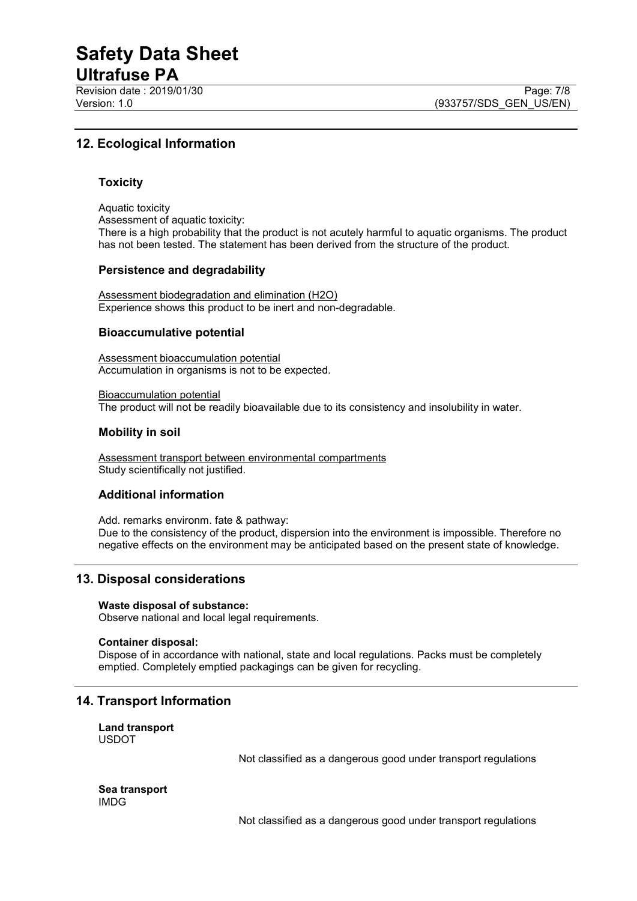# **Safety Data Sheet**

### **Ultrafuse PA**

Revision date : 2019/01/30 Page: 7/8<br>Version: 1.0 (933757/SDS GEN US/EN)

#### **12. Ecological Information**

#### **Toxicity**

Aquatic toxicity Assessment of aquatic toxicity: There is a high probability that the product is not acutely harmful to aquatic organisms. The product has not been tested. The statement has been derived from the structure of the product.

#### **Persistence and degradability**

Assessment biodegradation and elimination (H2O) Experience shows this product to be inert and non-degradable.

#### **Bioaccumulative potential**

Assessment bioaccumulation potential Accumulation in organisms is not to be expected.

Bioaccumulation potential The product will not be readily bioavailable due to its consistency and insolubility in water.

#### **Mobility in soil**

Assessment transport between environmental compartments Study scientifically not justified.

#### **Additional information**

Add. remarks environm. fate & pathway: Due to the consistency of the product, dispersion into the environment is impossible. Therefore no negative effects on the environment may be anticipated based on the present state of knowledge.

#### **13. Disposal considerations**

#### **Waste disposal of substance:**

Observe national and local legal requirements.

#### **Container disposal:**

Dispose of in accordance with national, state and local regulations. Packs must be completely emptied. Completely emptied packagings can be given for recycling.

#### **14. Transport Information**

**Land transport** USDOT

Not classified as a dangerous good under transport regulations

**Sea transport** IMDG

Not classified as a dangerous good under transport regulations